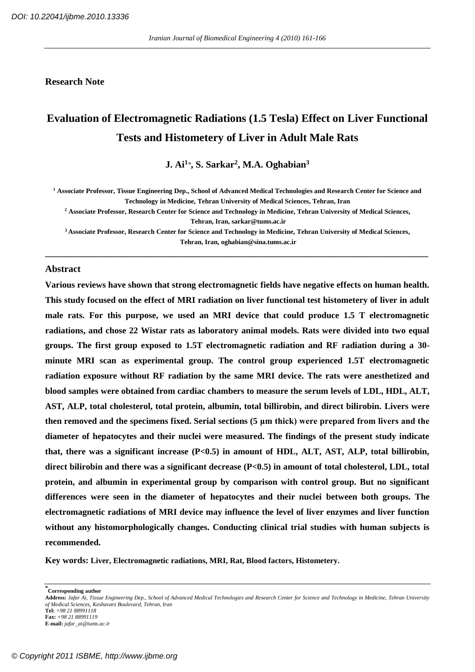#### **Research Note**

# **Evaluation of Electromagnetic Radiations (1.5 Tesla) Effect on Liver Functional Tests and Histometery of Liver in Adult Male Rats**

**J. Ai<sup>1</sup> , S. Sarkar<sup>2</sup> , M.A. Oghabian<sup>3</sup>**

**<sup>1</sup> Associate Professor, Tissue Engineering Dep., School of Advanced Medical Technologies and Research Center for Science and Technology in Medicine, Tehran University of Medical Sciences, Tehran, Iran**

**<sup>2</sup> Associate Professor, Research Center for Science and Technology in Medicine, Tehran University of Medical Sciences, Tehran, Iran, sarkar@tums.ac.ir**

**<sup>3</sup>Associate Professor, Research Center for Science and Technology in Medicine, Tehran University of Medical Sciences, Tehran, Iran, oghabian@sina.tums.ac.ir**

**\_\_\_\_\_\_\_\_\_\_\_\_\_\_\_\_\_\_\_\_\_\_\_\_\_\_\_\_\_\_\_\_\_\_\_\_\_\_\_\_\_\_\_\_\_\_\_\_\_\_\_\_\_\_\_\_\_\_\_\_\_\_\_\_\_\_\_\_\_\_\_\_\_\_\_\_\_\_\_\_\_\_\_\_\_\_\_**

#### **Abstract**

**Various reviews have shown that strong electromagnetic fields have negative effects on human health. This study focused on the effect of MRI radiation on liver functional test histometery of liver in adult male rats. For this purpose, we used an MRI device that could produce 1.5 T electromagnetic radiations, and chose 22 Wistar rats as laboratory animal models. Rats were divided into two equal groups. The first group exposed to 1.5T electromagnetic radiation and RF radiation during a 30 minute MRI scan as experimental group. The control group experienced 1.5T electromagnetic radiation exposure without RF radiation by the same MRI device. The rats were anesthetized and blood samples were obtained from cardiac chambers to measure the serum levels of LDL, HDL, ALT, AST, ALP, total cholesterol, total protein, albumin, total billirobin, and direct bilirobin. Livers were then removed and the specimens fixed. Serial sections (5 μm thick) were prepared from livers and the diameter of hepatocytes and their nuclei were measured. The findings of the present study indicate that, there was a significant increase (P<0.5) in amount of HDL, ALT, AST, ALP, total billirobin, direct bilirobin and there was a significant decrease (P<0.5) in amount of total cholesterol, LDL, total protein, and albumin in experimental group by comparison with control group. But no significant differences were seen in the diameter of hepatocytes and their nuclei between both groups. The electromagnetic radiations of MRI device may influence the level of liver enzymes and liver function without any histomorphologically changes. Conducting clinical trial studies with human subjects is recommended.**

**Key words: Liver, Electromagnetic radiations, MRI, Rat, Blood factors, Histometery.**

**\* Corresponding author**

**Address:** *Jafar Ai, Tissue Engineering Dep., School of Advanced Medical Technologies and Research Center for Science and Technology in Medicine, Tehran University of Medical Sciences, Keshavarz Boulevard, Tehran, Iran* **Tel:** *+98 21 88991118*

**Fax:** *+98 21 88991119* **E-mail:** *jafar\_ai@tums.ac.ir*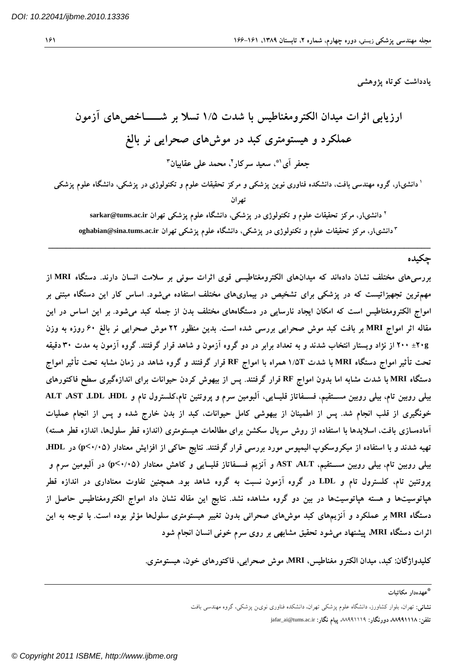$181$ 

یادداشت کوتاه یژوهشی

تھر ان <sup>۲</sup> دانشی،ار، مرکز تحقیقات علوم و تکنولوژی در پزشکی، دانشگاه علوم پزشکی تهران sarkar@tums.ac.ir **oghabian@sina.tums.ac.ir**

**\_\_\_\_\_\_\_\_\_\_\_\_\_\_\_\_\_\_\_\_\_\_\_\_\_\_\_\_\_\_\_\_\_\_\_\_\_\_\_\_\_\_\_\_\_\_\_\_\_\_\_\_\_\_\_\_\_\_\_\_\_\_\_\_\_\_\_\_\_\_\_\_\_\_\_\_\_\_\_\_\_\_\_\_\_\_\_**

## چکیده

بررسیهای مختلف نشان دادهاند که میدانهای الکترومغناطیسی قوی اثرات سوئی بر سلامت انسان دارند. دستگاه MRI از مهمترین تجهیزاتیست که در پزشکی برای تشخیص در بیماریهای مختلف استفاده میشود. اساس کار این دستگاه مبتنی بر امواج الکترومغناطیس است که امکان ایجاد نارسایی در دستگاههای مختلف بدن از جمله کبد میشود. بر این اساس در این مقاله اثر امواج MRI بر بافت کبد موش صحرایی بررسی شده است. بدین منظور ۲۲ موش صحرایی نر بالغ ۶۰ روزه به وزن ۲۰**۰± ۲۰۰ از نژاد ویستار انتخاب شدند و به تعداد** برابر در دو گروه آزمون و شاهد قرار گرفتند. گروه آزمون به مدت ۳۰دقیقه تحت تأثیر امواج دستگاه MRI با شدت ۱/۵T همراه با امواج RF قرار گرفتند و گروه شاهد در زمان مشابه تحت تأثیر امواج دستگاه MRI با شدت مشابه اما بدون امواج RF قرار گرفتند. پس از بیهوش کردن حیوانات برای اندازهگیری سطح فاکتورهای **ALT AST LDL HDL** خونگیری از قلب انجام شد. پس از اطمینان از بیهوشی کامل حیوانات، کبد از بدن خارج شده و پس از انجام عملیات آمادهسازی بافت، اسلایدها با استفاده از روش سریال سکشن برای مطالعات هیستومتری (اندازه قطر سلولها، اندازه قطر هسته) **HDL p< p< AST ALT** پروتئین تام، کلسترول تام و LDL در گروه آزمون نسبت به گروه شاهد بود. همچنین تفاوت معناداری در اندازه قطر هپاتوسیتها و هسته هپاتوسیتها در بین دو گروه مشاهده نشد. نتایج این مقاله نشان داد امواج الکترومغناطیس حاصل از دستگاه MRI بر عملکرد و آنزیمهای کبد موشهای صحرائی بدون تغییر هیستومتری سلولها مؤثر بوده است. با توجه به این اثرات دستگاه MRI، پیشنهاد میشود تحقیق مشابهی بر روی سرم خونی انسان انجام شود

كليدواژگان: كبد، ميدان الكترو مغناطيس، MRI، موش صحرايي، فاكتورهاي خون، هيستومتري.

تهران، بلوار كشاورز، دانشگاه علوم پزشكي تهران، دانشکده فناوری نوین پزشکی، گروه مهندسی بافت

<sup>\*</sup>عهدهدار مكاتبات

jafar\_ai@tums.ac.ir ،11888888 ،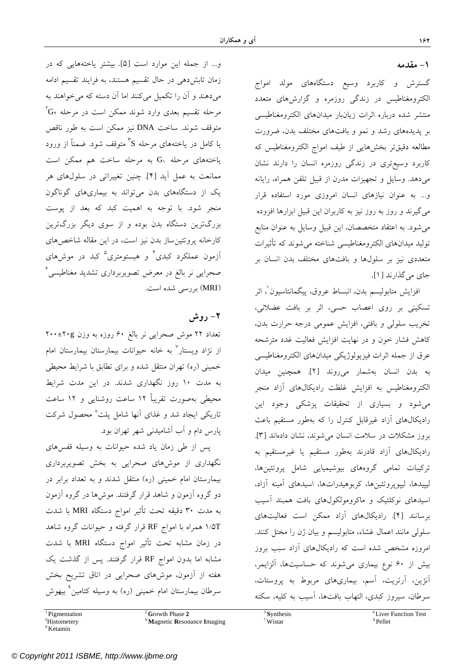#### **-۱ مقدمه**

گسترش و كاربرد وسيع دستگاههاي مولد امواج الكترومغناطيس در زندگي روزمره و گزارشهاي متعدد منتشر شده درباره اثرات زيانبار ميدانهاي الكترومغناطيسي بر پديدههاي رشد و نمو و بافتهاي مختلف بدن، ضرورت مطالعه دقيقتر بخشهايي از طيف امواج الكترومغناطيس كه كاربرد وسيعتري در زندگي روزمره انسان را دارند نشان ميدهد. وسايل و تجهيزات مدرن از قبيل تلفن همراه، رايانه و... به عنوان نيازهاي انسان امروزي مورد استفاده قرار ميگيرند و روز به روز نيز به كاربران اين قبيل ابزارها افزوده ميشود. به اعتقاد متخصصان، اين قبيل وسايل به عنوان منابع توليد ميدانهاي الكترومغناطيسي شناخته ميشوند كه تأثيرات متعددي نيز بر سلولها و بافتهاي مختلف بدن انسان بر جاي ميگذارند [۱].

افزايش متابوليسم بدن، انبساط عروق، پيگمانتاسيون ٰ، اثر تسكيني بر روي اعصاب حسي، اثر بر بافت عضلاني، تخريب سلولي و بافتي، افزايش عمومي درجه حرارت بدن، كاهش فشار خون و در نهايت افزايش فعاليت غدد مترشحه عرق از جمله اثرات فيزيولوژيكي ميدانهاي الكترومغناطيسي به بدن انسان بهشمار ميروند [۲]. همچنين ميدان الكترومغناطيس به افزايش غلظت راديكالهاي آزاد منجر ميشود و بسياري از تحقيقات پزشكي وجود اين راديكالهاي آزاد غيرقابل كنترل را كه بهطور مستقيم باعث بروز مشكلات در سلامت انسان ميشوند، نشان دادهاند [۳]. راديكالهاي آزاد قادرند بهطور مستقيم يا غيرمستقيم به تركيبات تمامي گروههاي بيوشيميايي شامل پروتئينها، ليپيدها، ليپوپروتئينها، كربوهيدراتها، اسيدهاي آمينه آزاد، اسيدهاي نوكلئيك و ماكرومولكولهاي بافت همبند آسيب برسانند [۴]. راديكالهاي آزاد ممكن است فعاليتهاي سلولي مانند اعمال غشاء، متابوليسم و بيان ژن را مختل كنند. امروزه مشخص شده است كه راديكالهاي آزاد سبب بروز بيش از ۶۰ نوع بيماري ميشوند كه حساسيتها، آلزايمر، آنژين، آرتريت، آسم، بيماريهاي مربوط به پروستات، سرطان، سيروز كبدي، التهاب بافتها، آسيب به كليه، سكته

و... از جمله اين موارد است [۵]. بيشتر ياختههايي که در زمان تابش دهي در حال تقسيم هستند، به فرايند تقسيم ادامه ميدهند و آن را تکميل ميکنند اما آن دسته که ميخواهند به  ${}^{\chi}\text{G}_{\text{Y}}$  مرحله تقسیم بعدی وارد شوند ممکن است در مرحله متوقف شوند. ساخت DNA نيز ممکن است به طور ناقص ۳ يا کامل در ياختههاي مرحله S متوقف شود. ضمناً از ورود ياختههاي مرحله  $G_1$  به مرحله ساخت هم ممکن است ممانعت به عمل آيد [۴]. چنين تغييراتي در سلولهاي هر يك از دستگاههاي بدن ميتواند به بيماريهاي گوناگون منجر شود. با توجه به اهميت كبد كه بعد از پوست بزرگترين دستگاه بدن بوده و از سوي ديگر بزرگترين کارخانه پروتئينساز بدن نيز است، در اين مقاله شاخصهاي أزمون عملکرد کبدی<sup>۴</sup> و هیستومتری<sup>۵</sup> کبد در موشهای ۶ صحرايي نر بالغ در معرض تصويربرداري تشديد مغناطيسي (MRI) بررسی شده است.

# **-۲ روش**

تعداد ۲۲ موش صحرايي نر بالغ ۶۰ روزه به وزن g۲۰۰±۲۰ از نژاد ويستار<sup>۷</sup> به خانه حيوانات بيمارستان بيمارستان امام خميني (ره) تهران منتقل شده و براي تطابق با شرايط محيطي به مدت ۱۰ روز نگهداري شدند. در اين مدت شرايط محيطي بهصورت تقريباً ۱۲ ساعت روشنايي و ۱۲ ساعت تاريکي ايجاد شد و غذاي آنها شامل پلت<sup>^</sup> محصول شرکت پارس دام و آب آشاميدني شهر تهران بود.

پس از طي زمان ياد شده حيوانات به وسيله قفسهاي نگهداري از موشهاي صحرايي به بخش تصويربرداري بيمارستان امام خميني (ره) منتقل شدند و به تعداد برابر در دو گروه آزمون و شاهد قرار گرفتند. موشها در گروه آزمون به مدت ۳۰ دقيقه تحت تأثير امواج دستگاه MRI با شدت T۱/۵ همراه با امواج RF قرار گرفته و حيوانات گروه شاهد در زمان مشابه تحت تأثير امواج دستگاه MRI با شدت مشابه اما بدون امواج RF قرار گرفتند. پس از گذشت يک هفته از آزمون، موشهاي صحرايي در اتاق تشريح بخش سرطان بيمارستان امام خميني (ره) به وسيله کتامين<sup>۹</sup> بيهوش

9 Ketamin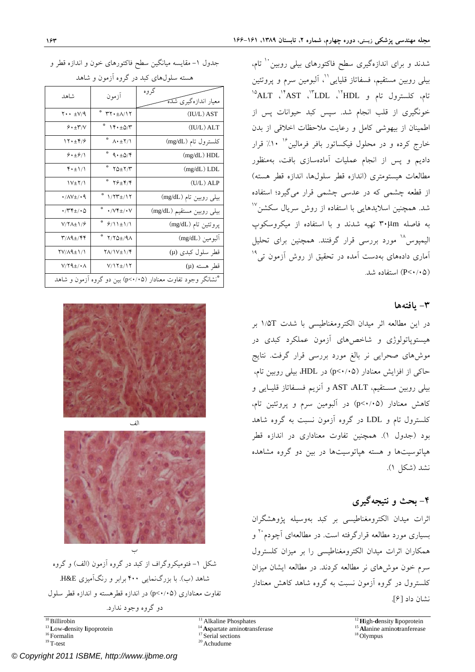شدند و برای اندازهگيری سطح فاکتورهای بيل<sub>ی</sub> روبين <sup>۱۰</sup> تام، بيلي روبين مستقيم، فسفاتاز قليايي''، اَلبومين سرم و پروتئين ۱۵ ، ALT <sup>۱۴</sup> ، AST <sup>۱۳</sup> ، LDL <sup>۱۲</sup> تام، کلسترول تام و HDL خونگيري از قلب انجام شد. سپس کبد حيوانات پس از اطمينان از بيهوشي كامل و رعايت ملاحظات اخلاقي از بدن خارج کرده و در محلول فيکساتور بافر فرمالين<sup>۱۶</sup> ۱۰٪ قرار داديم و پس از انجام عمليات آمادهسازي بافت، بهمنظور مطالعات هيستومتری (اندازه قطر سلولها، اندازه قطر هسته) از قطعه چشمی که در عدسی چشمی قرار میگيرد؛ استفاده ۱۷ شد. همچنين اسلايدهايي با استفاده از روش سريال سكشن به فاصله µm۳۰ تهيه شدند و با استفاده از ميكروسكوپ اليميوس<sup>۱۸</sup> مورد بررسي قرار گرفتند. همچنين براي تحليل ۱۹ آماري دادههاي بهدست آمده در تحقيق از روش آزمون تي (۰/۰۵>P (استفاده شد.

#### **-۳ يافتهها**

در اين مطالعه اثر ميدان الكترومغناطيسي با شدت T۱/۵ بر هيستوپاتولوژي و شاخصهاي آزمون عملكرد كبدي در موشهاي صحرايي نر بالغ مورد بررسي قرار گرفت. نتايج حاکي از افزايش معنادار (۰/۰۵>p (در HDL، بيلي روبين تام، بيلي روبين مسـتقيم، ALT، AST و آنزيم فسـفاتاز قليـايي و کاهش معنادار (۰/۰۵>p (در آلبومين سرم و پروتئين تام، کلسترول تام و LDL در گروه آزمون نسبت به گروه شاهد بود (جدول ۱). همچنين تفاوت معناداری در اندازه قطر هپاتوسيتها و هسته هپاتوسيتها در بين دو گروه مشاهده نشد (شكل ۱).

## **-۴ بحث و نتيجهگيري**

اثرات ميدان الكترومغناطيسي بر کبد بهوسيله پژوهشگران ۲۰ بسياري مورد مطالعه قرارگرفته است. در مطالعهاي آچودم و همکاران اثرات ميدان الكترومغناطيسي را بر ميزان کلسترول سرم خون موشهای نر مطالعه كردند. در مطالعه ايشان ميزان کلسترول در گروه آزمون نسبت به گروه شاهد كاهش معنادار نشان داد [۶].

جدول ۱– مقايسه ميانگين سطح فاکتورهای خون و اندازه قطر و

| هسته سلولهای کبد در گروه آزمون و شاهد                        |                                             |                                  |
|--------------------------------------------------------------|---------------------------------------------|----------------------------------|
| شاهد                                                         | آزمون                                       | گر وه<br>معیار اندازهگیری شَدَهَ |
| $Y \cdot \cdot \pm V/9$                                      | $\Upsilon Y \cdot \pm \Lambda / Y$          | (IU/L) AST                       |
| 9.1                                                          | $Y + \pm \Delta/Y$                          | (IU/L) ALT                       |
| 17.19                                                        | $^*$ $\Lambda \cdot \pm 7/1$                | كلسترول تام (mg/dL)              |
| 9.19/1                                                       | $^*$ ۹۰ $\pm \Delta$ /۴                     | (mg/dL) HDL                      |
| $\mathfrak{r} \cdot \pm 1/1$                                 | $*$ $\gamma_{\Delta\pm}\gamma/\gamma$       | (mg/dL) LDL                      |
| $V_{\pm}Y/$                                                  | $*$ $\gamma \epsilon_{\pm} \gamma / \gamma$ | $(U/L)$ ALP                      |
| $\cdot$ //V $\pm$ / $\cdot$ 9                                | $1/\Upsilon\Upsilon\pm/\Upsilon$            | بیلی روبین تام (mg/dL)           |
| $\cdot$ /۳۴ $\pm$ / $\cdot$ ۵                                | Ŷ<br>$\cdot$ /V۴ $\pm$ / $\cdot$ V          | بیلی روبین مستقیم (mg/dL)        |
| $V/\Upsilon\Lambda \pm 1/\hat{r}$                            | $9/11 \pm 1/1$                              | پروتئين تام (mg/dL)              |
| $\mathbf{r}$ / $\mathbf{A}$                                  | $Y/Y\Delta t/9\Lambda$                      | البومين (mg/dL)                  |
| <b>YV/A9±1/1</b>                                             | <b>YA/1V±1/4</b>                            | قطر سلول کبدی (µ)                |
| $V/Y$ ۹ $\pm$ /• $\Lambda$                                   | $V/17\pm/17$                                | قطر هسته (µ)                     |
| *نشانگر وجود تفاوت معنادار (p<٠/٠۵) بین دو گروه آزمون و شاهد |                                             |                                  |



الف

ب شکل -۱ فتوميکروگراف از کبد در گروه آزمون (الف) و گروه شاهد (ب). با بزرگنمايي ۴۰۰ برابر و رنگآميزي E&H. تفاوت معناداري (۰/۰۵>p (در اندازه قطرهسته و اندازه قطر سلول

دو گروه وجود ندارد.

<sup>16</sup> Formalin <sup>17</sup> Serial sections <sup>18</sup> Olympus <sup>18</sup> Olympus <sup>19</sup> T-test <sup>20</sup> Achudume

[© Copyright 2011 ISBME, http://www.ijbme.org](www.ijbme.org)

- 
-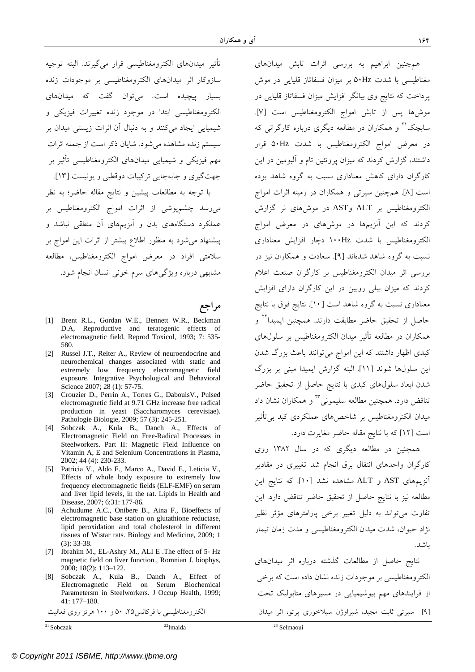تأثير ميدانهاي الكترومغناطيسي قرار ميگيرند. البته توجيه سازوكار اثر ميدانهاي الكترومغناطيسي بر موجودات زنده بسيار پيچيده است. ميتوان گفت كه ميدانهاي الكترومغناطيسي ابتدا در موجود زنده تغييرات فيزيكي و شيميايي ايجاد ميكنند و به دنبال آن اثرات زيستي ميدان بر سيستم زنده مشاهده ميشود. شايان ذكر است از جمله اثرات مهم فيزيكي و شيميايي ميدانهاي الكترومغناطيسي تأثير بر جهتگيري و جابهجايي تركيبات دوقطبي و يونيست [۱۳]. با توجه به مطالعات پيشين و نتايج مقاله حاضر؛ به نظر ميرسد چشمپوشي از اثرات امواج الکترومغناطيس بر عملکرد دستگاههاي بدن و آنزيمهاي آن منطقي نباشد و

پيشنهاد ميشود به منظور اطلاع بيشتر از اثرات اين امواج بر سلامتي افراد در معرض امواج الکترومغناطيس، مطالعه مشابهي درباره ويژگيهاي سرم خوني انسان انجام شود.

**مراجع**

- [1] Brent R.L., Gordan W.E., Bennett W.R., Beckman D.A, Reproductive and teratogenic effects of electromagnetic field. Reprod Toxicol, 1993; 7: 535- 580.
- [2] Russel J.T., Reiter A., Review of neuroendocrine and neurochemical changes associated with static and extremely low frequency electromagnetic field exposure. Integrative Psychological and Behavioral Science 2007; 28 (1): 57-75.
- [3] Crouzier D., Perrin A., Torres G., DabouisV., Pulsed electromagnetic field at 9.71 GHz increase free radical production in yeast (Saccharomyces cerevisiae). Pathologie Biologie, 2009; 57 (3): 245-251.
- [4] Sobczak A., Kula B., Danch A., Effects of Electromagnetic Field on Free-Radical Processes in Steelworkers. Part II: Magnetic Field Influence on Vitamin A, E and Selenium Concentrations in Plasma, 2002; 44 (4): 230-233.
- [5] Patricia V., Aldo F., Marco A., David E., Leticia V., Effects of whole body exposure to extremely low frequency electromagnetic fields (ELF-EMF) on serum and liver lipid levels, in the rat. Lipids in Health and Disease, 2007; 6:31: 177-86.
- [6] Achudume A.C., Onibere B., Aina F., Bioeffects of electromagnetic base station on glutathione reductase, lipid peroxidation and total cholesterol in different tissues of Wistar rats. Biology and Medicine, 2009; 1 (3): 33-38.
- [7] Ibrahim M., EL-Ashry M., ALI E .The effect of 5- Hz magnetic field on liver function., Romnian J. biophys, 2008; 18(2): 113–122.
- [8] Sobczak A., Kula B., Danch A., Effect of Electromagnetic Field on Serum Biochemical Parametersm in Steelworkers. J Occup Health, 1999; 41: 177–180.

21 Sobczak 22Imaida 23 Selmaoui

همچنين ابراهيم به بررسي اثرات تابش ميدانهاي مغناطيسي با شدت Hz۵۰ بر ميزان فسفاتاز قليايي در موش پرداخت كه نتايج وي بيانگر افزايش ميزان فسفاتاز قليايي در موشها پس از تابش امواج الکترومغناطيس است [۷]. سابچک<sup>۲۱</sup> و همکاران در مطالعه ديگري درباره کارگراني که در معرض امواج الکترومغناطيس با شدت Hz۵۰ قرار داشتند، گزارش كردند که ميزان پروتئين تام و آلبومين در اين کارگران داراي کاهش معناداري نسبت به گروه شاهد بوده است [۸]. همچنين سيرتي و همکاران در زمينه اثرات امواج الکترومغناطيس بر ALT وAST در موشهاي نر گزارش كردند که اين آنزيمها در موشهاي در معرض امواج الکترومغناطيس با شدت Hz۱۰۰ دچار افزايش معناداري نسبت به گروه شاهد شدهاند [۹]. سعادت و همکاران نيز در بررسي اثر ميدان الكترومغناطيس بر کارگران صنعت اعلام کردند که ميزان بيلي روبين در اين کارگران داراي افزايش معناداري نسبت به گروه شاهد است [۱۰]. نتايج فوق با نتايج حاصل از تحقيق حاضر مطابقت دارند. همچنين ايميدا<sup>٢٢</sup> و همکاران در مطالعه تأثير ميدان الكترومغناطيس بر سلولهاي کبدی اظهار داشتند که اين امواج مي توانند باعث بزرگ شدن اين سلولها شوند [۱۱]. البته گزارش ايميدا مبني بر بزرگ شدن ابعاد سلولهاي كبدي با نتايج حاصل از تحقيق حاضر تناقض دارد. همچنين مطالعه سليموني<sup>۲۳</sup> و همکاران نشان داد ميدان الكترومغناطيس بر شاخصهاي عملکردي کبد بيتأثير است [۱۲] كه با نتايج مقاله حاضر مغايرت دارد.

همچنين در مطالعه ديگري كه در سال ۱۳۸۲ روي كارگران واحدهاي انتقال برق انجام شد تغييري در مقادير آنزيمهاي AST و ALT مشاهده نشد [۱۰]. که نتايج اين مطالعه نيز با نتايج حاصل از تحقيق حاضر تناقض دارد. اين تفاوت ميتواند به دليل تغيير برخي پارامترهاي مؤثر نظير نژاد حيوان، شدت ميدان الكترومغناطيسي و مدت زمان تيمار باشد.

نتايج حاصل از مطالعات گذشته درباره اثر ميدانهاي الكترومغناطيسي بر موجودات زنده نشان داده است كه برخي از فرايندهاي مهم بيوشيميايي در مسيرهاي متابوليك تحت [۹] سيرتي ثابت مجيد، شيراوژن سيلاخوري پرتو، اثر ميدان الكترومغناطيسي با فركانس،۲۵ ۵۰ و ۱۰۰ هرتز روي فعاليت